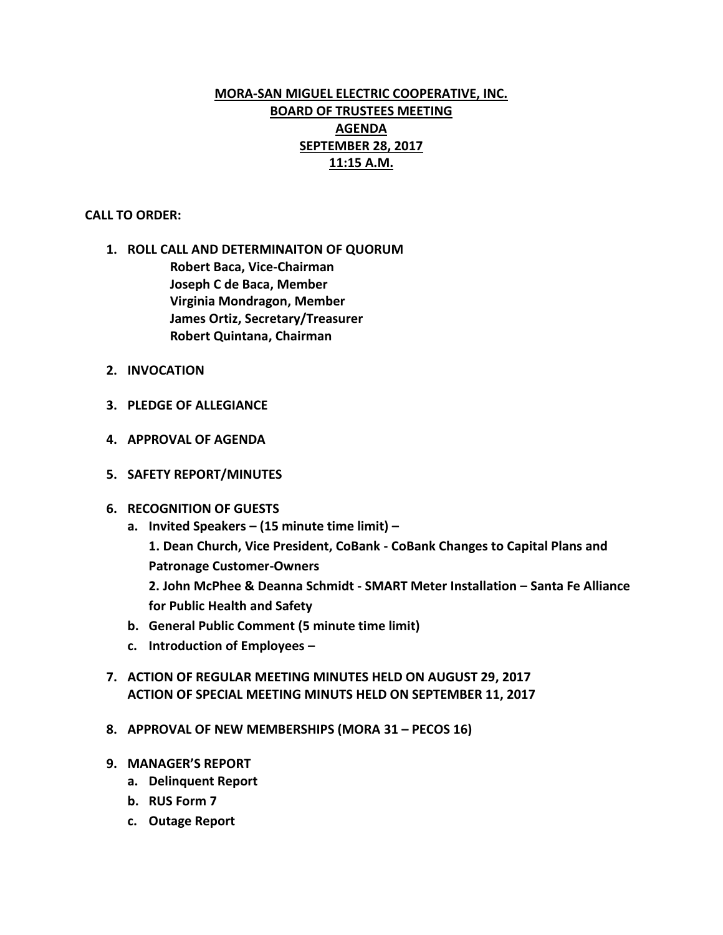# **MORA-SAN MIGUEL ELECTRIC COOPERATIVE, INC. BOARD OF TRUSTEES MEETING AGENDA SEPTEMBER 28, 2017 11:15 A.M.**

## **CALL TO ORDER:**

- **1. ROLL CALL AND DETERMINAITON OF QUORUM Robert Baca, Vice-Chairman Joseph C de Baca, Member Virginia Mondragon, Member James Ortiz, Secretary/Treasurer Robert Quintana, Chairman**
- **2. INVOCATION**
- **3. PLEDGE OF ALLEGIANCE**
- **4. APPROVAL OF AGENDA**
- **5. SAFETY REPORT/MINUTES**

## **6. RECOGNITION OF GUESTS**

- **a. Invited Speakers – (15 minute time limit) – 1. Dean Church, Vice President, CoBank - CoBank Changes to Capital Plans and Patronage Customer-Owners 2. John McPhee & Deanna Schmidt - SMART Meter Installation – Santa Fe Alliance for Public Health and Safety**
- **b. General Public Comment (5 minute time limit)**
- **c. Introduction of Employees –**
- **7. ACTION OF REGULAR MEETING MINUTES HELD ON AUGUST 29, 2017 ACTION OF SPECIAL MEETING MINUTS HELD ON SEPTEMBER 11, 2017**
- **8. APPROVAL OF NEW MEMBERSHIPS (MORA 31 – PECOS 16)**
- **9. MANAGER'S REPORT**
	- **a. Delinquent Report**
	- **b. RUS Form 7**
	- **c. Outage Report**